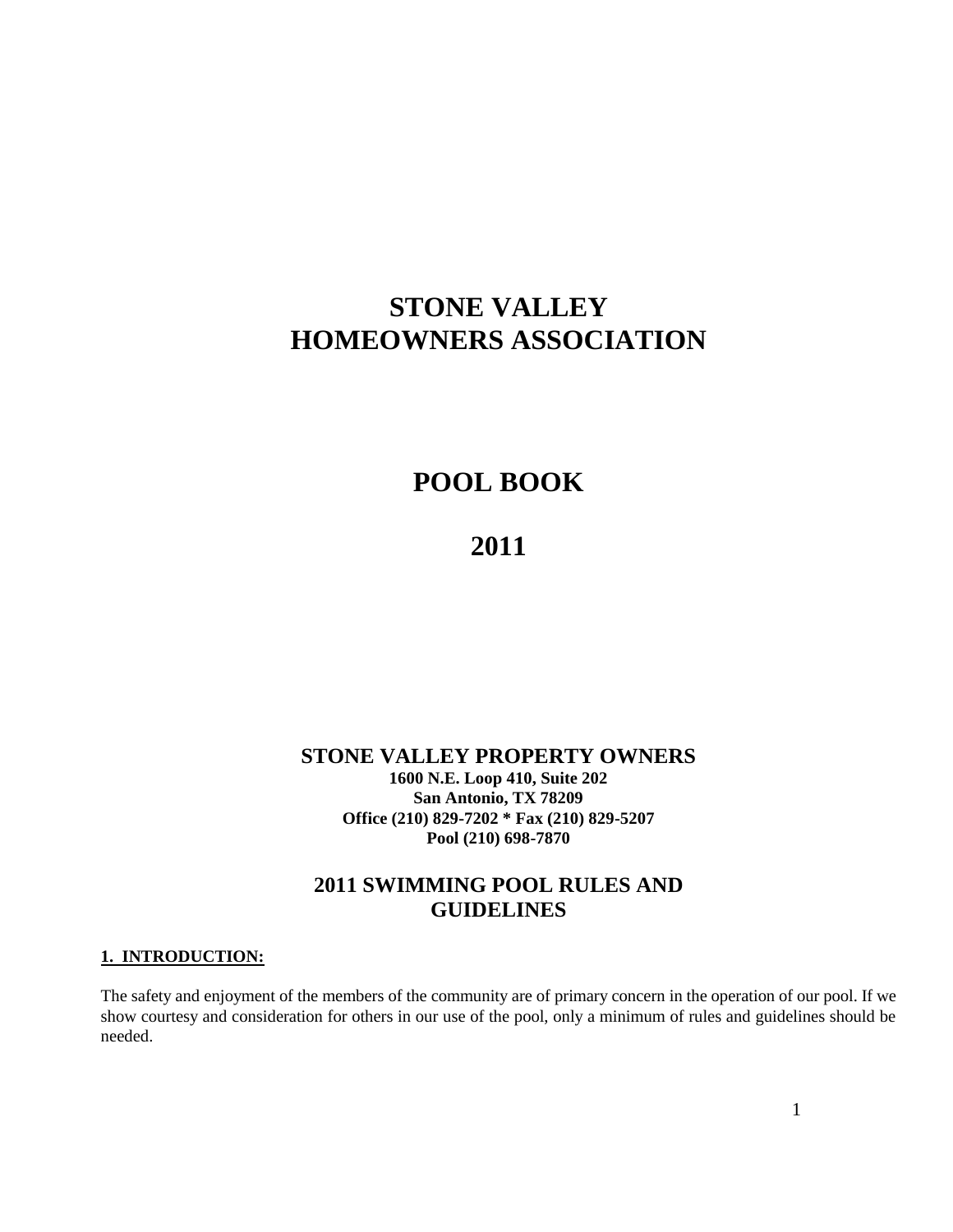# **STONE VALLEY HOMEOWNERS ASSOCIATION**

# **POOL BOOK**

## **2011**

#### **STONE VALLEY PROPERTY OWNERS 1600 N.E. Loop 410, Suite 202 San Antonio, TX 78209 Office (210) 829-7202 \* Fax (210) 829-5207 Pool (210) 698-7870**

## **2011 SWIMMING POOL RULES AND GUIDELINES**

#### **1. INTRODUCTION:**

The safety and enjoyment of the members of the community are of primary concern in the operation of our pool. If we show courtesy and consideration for others in our use of the pool, only a minimum of rules and guidelines should be needed.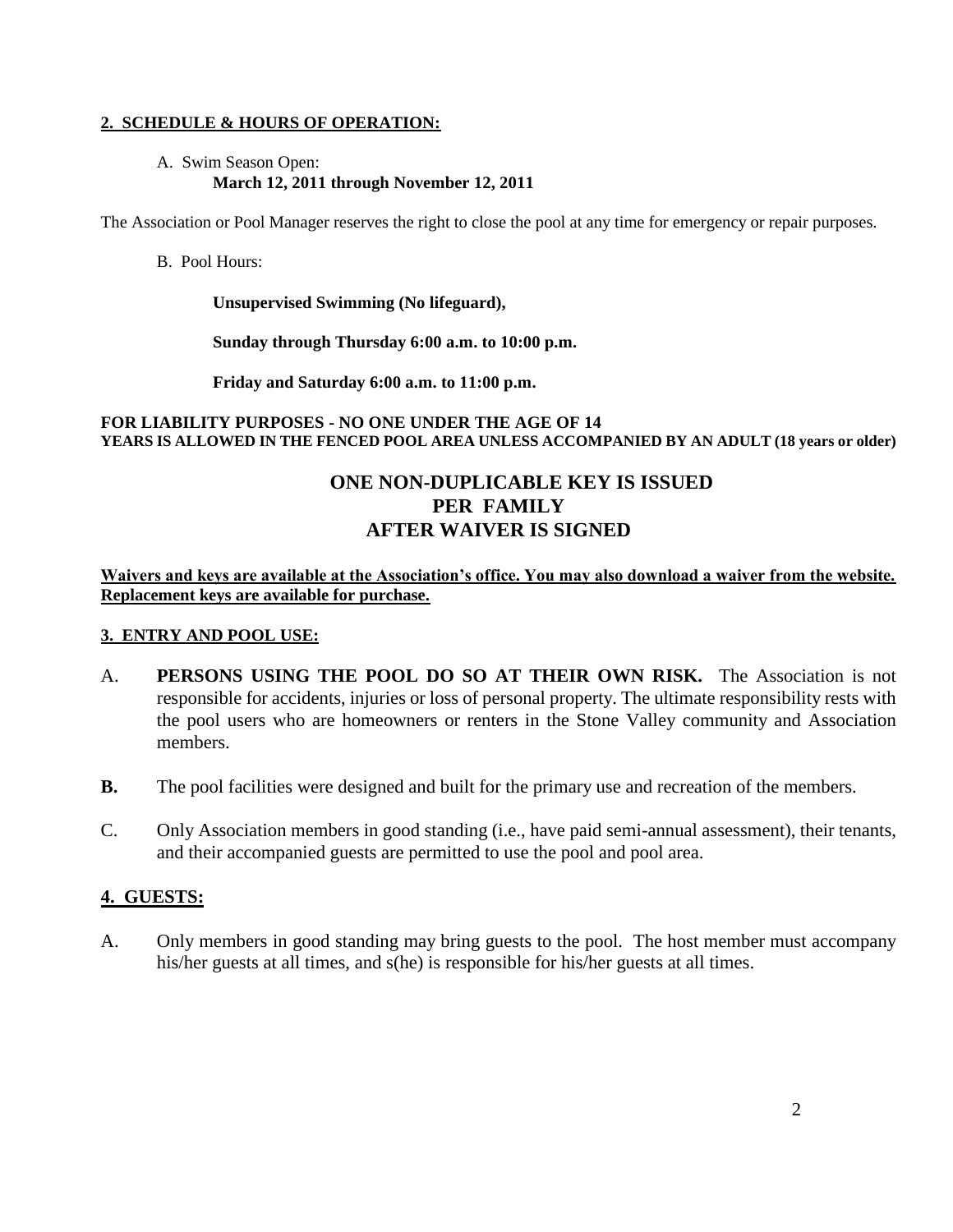#### **2. SCHEDULE & HOURS OF OPERATION:**

#### A. Swim Season Open: **March 12, 2011 through November 12, 2011**

The Association or Pool Manager reserves the right to close the pool at any time for emergency or repair purposes.

#### B. Pool Hours:

**Unsupervised Swimming (No lifeguard),** 

**Sunday through Thursday 6:00 a.m. to 10:00 p.m.** 

**Friday and Saturday 6:00 a.m. to 11:00 p.m.**

#### **FOR LIABILITY PURPOSES - NO ONE UNDER THE AGE OF 14 YEARS IS ALLOWED IN THE FENCED POOL AREA UNLESS ACCOMPANIED BY AN ADULT (18 years or older)**

## **ONE NON-DUPLICABLE KEY IS ISSUED PER FAMILY AFTER WAIVER IS SIGNED**

**Waivers and keys are available at the Association's office. You may also download a waiver from the website. Replacement keys are available for purchase.**

#### **3. ENTRY AND POOL USE:**

- A. **PERSONS USING THE POOL DO SO AT THEIR OWN RISK.** The Association is not responsible for accidents, injuries or loss of personal property. The ultimate responsibility rests with the pool users who are homeowners or renters in the Stone Valley community and Association members.
- **B.** The pool facilities were designed and built for the primary use and recreation of the members.
- C. Only Association members in good standing (i.e., have paid semi-annual assessment), their tenants, and their accompanied guests are permitted to use the pool and pool area.

## **4. GUESTS:**

A. Only members in good standing may bring guests to the pool. The host member must accompany his/her guests at all times, and s(he) is responsible for his/her guests at all times.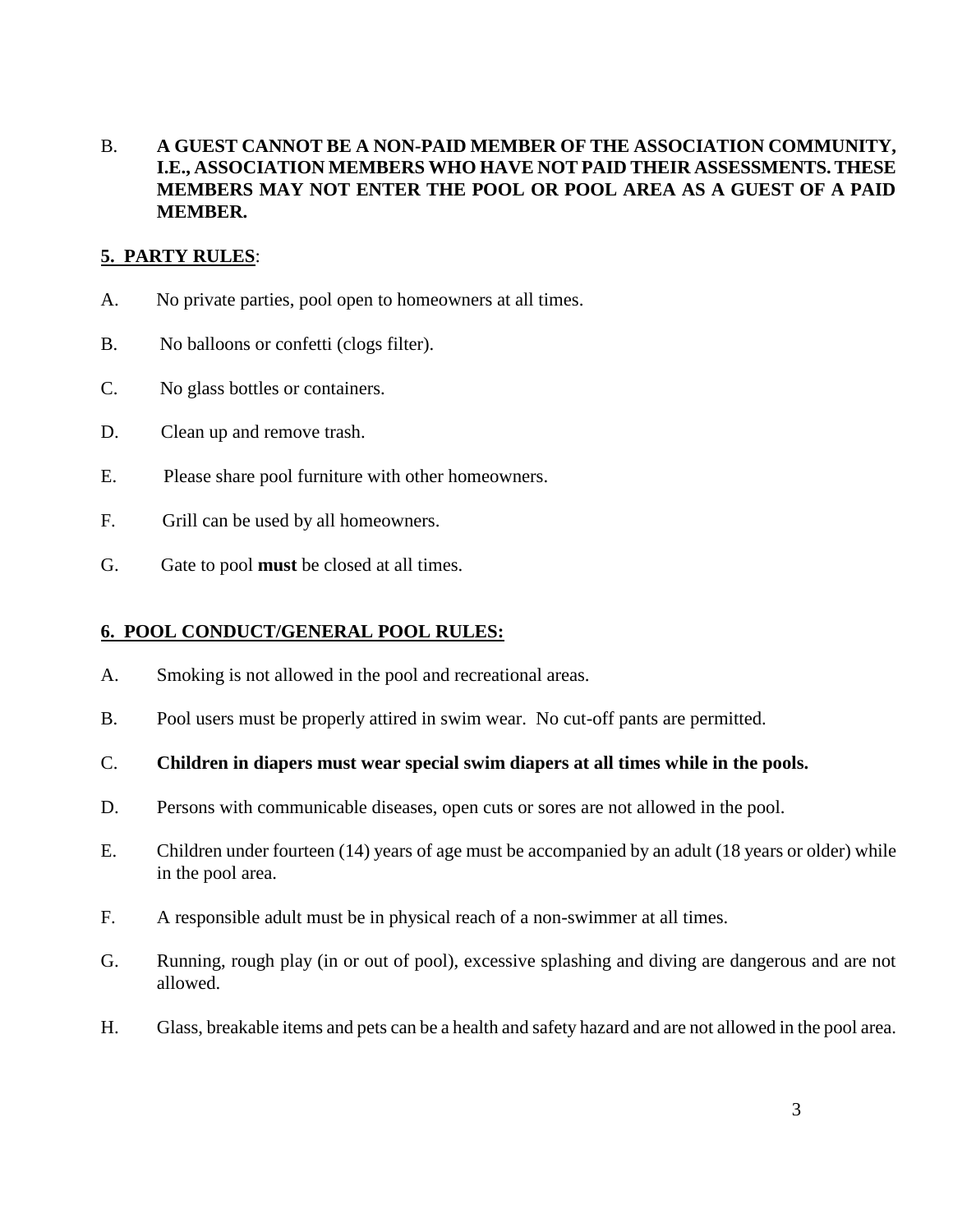B. **A GUEST CANNOT BE A NON-PAID MEMBER OF THE ASSOCIATION COMMUNITY, I.E., ASSOCIATION MEMBERS WHO HAVE NOT PAID THEIR ASSESSMENTS. THESE MEMBERS MAY NOT ENTER THE POOL OR POOL AREA AS A GUEST OF A PAID MEMBER.**

## **5. PARTY RULES**:

- A. No private parties, pool open to homeowners at all times.
- B. No balloons or confetti (clogs filter).
- C. No glass bottles or containers.
- D. Clean up and remove trash.
- E. Please share pool furniture with other homeowners.
- F. Grill can be used by all homeowners.
- G. Gate to pool **must** be closed at all times.

## **6. POOL CONDUCT/GENERAL POOL RULES:**

- A. Smoking is not allowed in the pool and recreational areas.
- B. Pool users must be properly attired in swim wear. No cut-off pants are permitted.
- C. **Children in diapers must wear special swim diapers at all times while in the pools.**
- D. Persons with communicable diseases, open cuts or sores are not allowed in the pool.
- E. Children under fourteen (14) years of age must be accompanied by an adult (18 years or older) while in the pool area.
- F. A responsible adult must be in physical reach of a non-swimmer at all times.
- G. Running, rough play (in or out of pool), excessive splashing and diving are dangerous and are not allowed.
- H. Glass, breakable items and pets can be a health and safety hazard and are not allowed in the pool area.